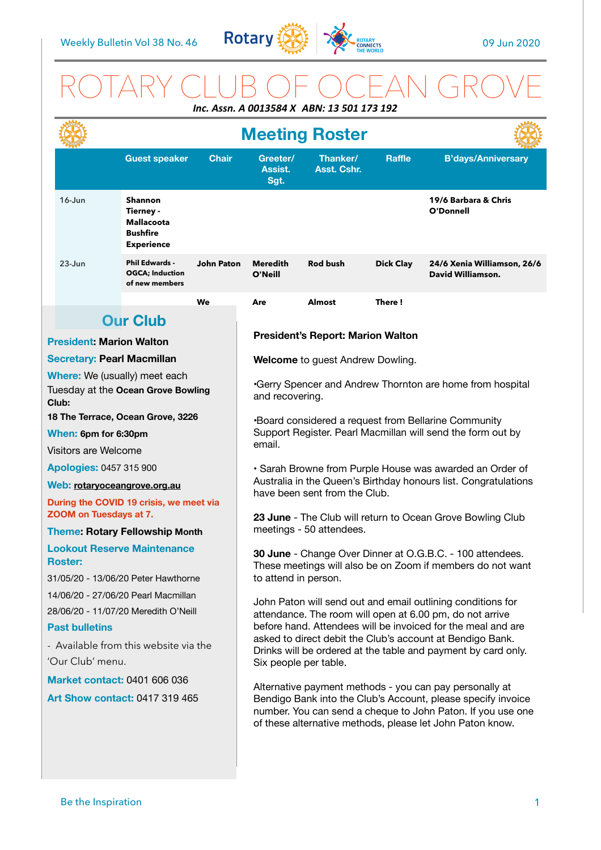

# ROTARY CLUB OF OCEAN GROVE *Inc. Assn. A 0013584 X ABN: 13 501 173 192*

|                                                                                                                                               |                                   | <b>Meeting Roster</b>                                                                    |                                                                                                                                                                                                                                                     |                                                                                                                                                                                                                                                                                                                                                |                         |                  |                                                  |
|-----------------------------------------------------------------------------------------------------------------------------------------------|-----------------------------------|------------------------------------------------------------------------------------------|-----------------------------------------------------------------------------------------------------------------------------------------------------------------------------------------------------------------------------------------------------|------------------------------------------------------------------------------------------------------------------------------------------------------------------------------------------------------------------------------------------------------------------------------------------------------------------------------------------------|-------------------------|------------------|--------------------------------------------------|
|                                                                                                                                               |                                   | <b>Guest speaker</b>                                                                     | <b>Chair</b>                                                                                                                                                                                                                                        | Greeter/<br>Assist.<br>Sgt.                                                                                                                                                                                                                                                                                                                    | Thanker/<br>Asst. Cshr. | <b>Raffle</b>    | <b>B'days/Anniversary</b>                        |
|                                                                                                                                               | $16 - Jun$                        | <b>Shannon</b><br>Tierney -<br><b>Mallacoota</b><br><b>Bushfire</b><br><b>Experience</b> |                                                                                                                                                                                                                                                     |                                                                                                                                                                                                                                                                                                                                                |                         |                  | 19/6 Barbara & Chris<br>O'Donnell                |
|                                                                                                                                               | $23 - Jun$                        | <b>Phil Edwards -</b><br><b>OGCA</b> ; Induction<br>of new members                       | <b>John Paton</b>                                                                                                                                                                                                                                   | <b>Meredith</b><br>O'Neill                                                                                                                                                                                                                                                                                                                     | <b>Rod bush</b>         | <b>Dick Clay</b> | 24/6 Xenia Williamson, 26/6<br>David Williamson. |
|                                                                                                                                               |                                   |                                                                                          | We                                                                                                                                                                                                                                                  | Are                                                                                                                                                                                                                                                                                                                                            | <b>Almost</b>           | There!           |                                                  |
|                                                                                                                                               |                                   | <b>Our Club</b>                                                                          |                                                                                                                                                                                                                                                     |                                                                                                                                                                                                                                                                                                                                                |                         |                  |                                                  |
| <b>President: Marion Walton</b>                                                                                                               |                                   |                                                                                          | <b>President's Report: Marion Walton</b>                                                                                                                                                                                                            |                                                                                                                                                                                                                                                                                                                                                |                         |                  |                                                  |
|                                                                                                                                               | <b>Secretary: Pearl Macmillan</b> |                                                                                          |                                                                                                                                                                                                                                                     | <b>Welcome</b> to guest Andrew Dowling.                                                                                                                                                                                                                                                                                                        |                         |                  |                                                  |
| Where: We (usually) meet each<br>Tuesday at the Ocean Grove Bowling<br>Club:                                                                  |                                   |                                                                                          |                                                                                                                                                                                                                                                     | .Gerry Spencer and Andrew Thornton are home from hospital<br>and recovering.                                                                                                                                                                                                                                                                   |                         |                  |                                                  |
| 18 The Terrace, Ocean Grove, 3226                                                                                                             |                                   |                                                                                          |                                                                                                                                                                                                                                                     | *Board considered a request from Bellarine Community<br>Support Register. Pearl Macmillan will send the form out by                                                                                                                                                                                                                            |                         |                  |                                                  |
| When: 6pm for 6:30pm                                                                                                                          |                                   |                                                                                          |                                                                                                                                                                                                                                                     |                                                                                                                                                                                                                                                                                                                                                |                         |                  |                                                  |
| Visitors are Welcome                                                                                                                          |                                   |                                                                                          | email.                                                                                                                                                                                                                                              |                                                                                                                                                                                                                                                                                                                                                |                         |                  |                                                  |
| <b>Apologies: 0457 315 900</b>                                                                                                                |                                   |                                                                                          | · Sarah Browne from Purple House was awarded an Order of<br>Australia in the Queen's Birthday honours list. Congratulations<br>have been sent from the Club.                                                                                        |                                                                                                                                                                                                                                                                                                                                                |                         |                  |                                                  |
| Web: rotaryoceangrove.org.au                                                                                                                  |                                   |                                                                                          |                                                                                                                                                                                                                                                     |                                                                                                                                                                                                                                                                                                                                                |                         |                  |                                                  |
| During the COVID 19 crisis, we meet via<br>ZOOM on Tuesdays at 7.                                                                             |                                   |                                                                                          | 23 June - The Club will return to Ocean Grove Bowling Club<br>meetings - 50 attendees.                                                                                                                                                              |                                                                                                                                                                                                                                                                                                                                                |                         |                  |                                                  |
| <b>Theme: Rotary Fellowship Month</b>                                                                                                         |                                   |                                                                                          |                                                                                                                                                                                                                                                     |                                                                                                                                                                                                                                                                                                                                                |                         |                  |                                                  |
| <b>Lookout Reserve Maintenance</b><br><b>Roster:</b>                                                                                          |                                   |                                                                                          | 30 June - Change Over Dinner at O.G.B.C. - 100 attendees.<br>These meetings will also be on Zoom if members do not want<br>to attend in person.                                                                                                     |                                                                                                                                                                                                                                                                                                                                                |                         |                  |                                                  |
| 31/05/20 - 13/06/20 Peter Hawthorne                                                                                                           |                                   |                                                                                          |                                                                                                                                                                                                                                                     |                                                                                                                                                                                                                                                                                                                                                |                         |                  |                                                  |
| 14/06/20 - 27/06/20 Pearl Macmillan<br>28/06/20 - 11/07/20 Meredith O'Neill<br><b>Past bulletins</b><br>- Available from this website via the |                                   |                                                                                          |                                                                                                                                                                                                                                                     | John Paton will send out and email outlining conditions for<br>attendance. The room will open at 6.00 pm, do not arrive<br>before hand. Attendees will be invoiced for the meal and are<br>asked to direct debit the Club's account at Bendigo Bank.<br>Drinks will be ordered at the table and payment by card only.<br>Six people per table. |                         |                  |                                                  |
| 'Our Club' menu.                                                                                                                              |                                   |                                                                                          |                                                                                                                                                                                                                                                     |                                                                                                                                                                                                                                                                                                                                                |                         |                  |                                                  |
| <b>Market contact: 0401 606 036</b>                                                                                                           |                                   |                                                                                          | Alternative payment methods - you can pay personally at<br>Bendigo Bank into the Club's Account, please specify invoice<br>number. You can send a cheque to John Paton. If you use one<br>of these alternative methods, please let John Paton know. |                                                                                                                                                                                                                                                                                                                                                |                         |                  |                                                  |
| <b>Art Show contact: 0417 319 465</b>                                                                                                         |                                   |                                                                                          |                                                                                                                                                                                                                                                     |                                                                                                                                                                                                                                                                                                                                                |                         |                  |                                                  |
|                                                                                                                                               |                                   |                                                                                          |                                                                                                                                                                                                                                                     |                                                                                                                                                                                                                                                                                                                                                |                         |                  |                                                  |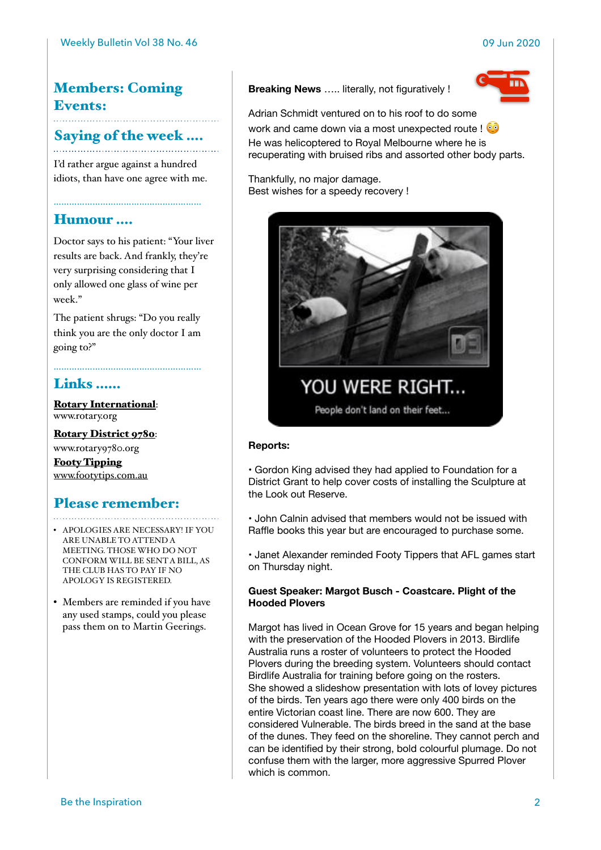## Members: Coming Events:

Saying of the week ….

I'd rather argue against a hundred

idiots, than have one agree with me.

## Humour ….

Doctor says to his patient: "Your liver results are back. And frankly, they're very surprising considering that I only allowed one glass of wine per week."

The patient shrugs: "Do you really think you are the only doctor I am going to?"

…………………………………………………

## Links ……

[Rotary International](https://www.rotary.org): [www.rotary.org](http://www.rotary.org)

[Rotary District 9780](http://rotary9780.org): [www.rotary9780.org](http://www.rotary9780.org)

[Footy Tipping](http://www.footytips.com.au) [www.footytips.com.au](http://www.footytips.com.au)

## Please remember:

- APOLOGIES ARE NECESSARY! IF YOU ARE UNABLE TO ATTEND A MEETING. THOSE WHO DO NOT CONFORM WILL BE SENT A BILL, AS THE CLUB HAS TO PAY IF NO APOLOGY IS REGISTERED.
- Members are reminded if you have any used stamps, could you please pass them on to Martin Geerings.

**Breaking News** ….. literally, not figuratively !



Adrian Schmidt ventured on to his roof to do some work and came down via a most unexpected route ! He was helicoptered to Royal Melbourne where he is recuperating with bruised ribs and assorted other body parts.

Thankfully, no major damage. Best wishes for a speedy recovery !



YOU WERE RIGHT...

People don't land on their feet...

### **Reports:**

• Gordon King advised they had applied to Foundation for a District Grant to help cover costs of installing the Sculpture at the Look out Reserve.

• John Calnin advised that members would not be issued with Raffle books this year but are encouraged to purchase some.

• Janet Alexander reminded Footy Tippers that AFL games start on Thursday night.

### **Guest Speaker: Margot Busch - Coastcare. Plight of the Hooded Plovers**

Margot has lived in Ocean Grove for 15 years and began helping with the preservation of the Hooded Plovers in 2013. Birdlife Australia runs a roster of volunteers to protect the Hooded Plovers during the breeding system. Volunteers should contact Birdlife Australia for training before going on the rosters. She showed a slideshow presentation with lots of lovey pictures of the birds. Ten years ago there were only 400 birds on the entire Victorian coast line. There are now 600. They are considered Vulnerable. The birds breed in the sand at the base of the dunes. They feed on the shoreline. They cannot perch and can be identified by their strong, bold colourful plumage. Do not confuse them with the larger, more aggressive Spurred Plover which is common.